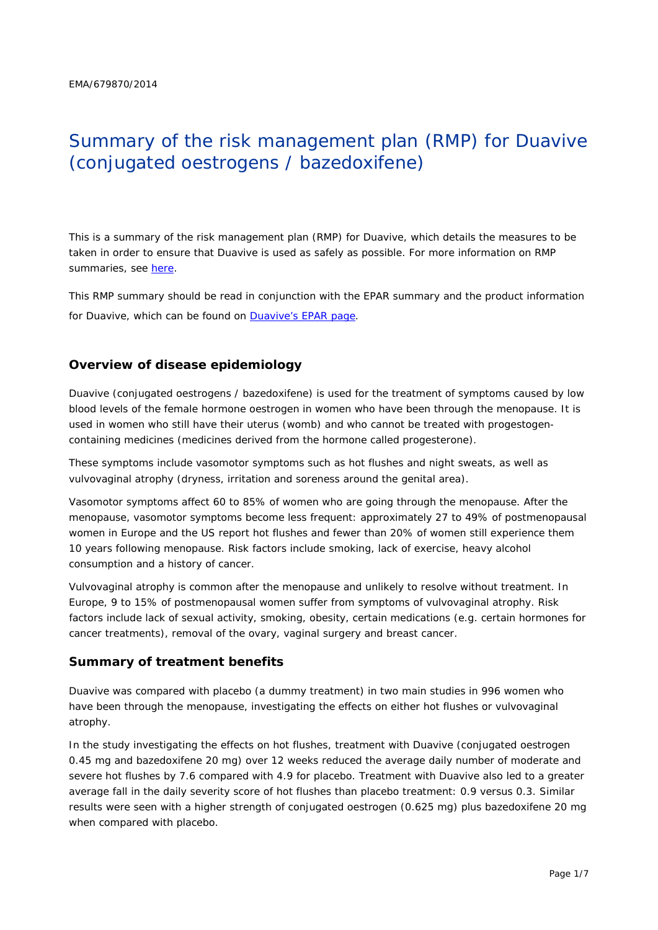# Summary of the risk management plan (RMP) for Duavive (conjugated oestrogens / bazedoxifene)

This is a summary of the risk management plan (RMP) for Duavive, which details the measures to be taken in order to ensure that Duavive is used as safely as possible. For more information on RMP summaries, see [here.](http://www.ema.europa.eu/docs/en_GB/document_library/Other/2014/05/WC500166101.pdf)

This RMP summary should be read in conjunction with the EPAR summary and the product information for Duavive, which can be found on [Duavive's EPAR page.](http://www.ema.europa.eu/ema/index.jsp?curl=/pages/medicines/human/medicines/002314/human_med_001824.jsp)

## **Overview of disease epidemiology**

Duavive (conjugated oestrogens / bazedoxifene) is used for the treatment of symptoms caused by low blood levels of the female hormone oestrogen in women who have been through the menopause. It is used in women who still have their uterus (womb) and who cannot be treated with progestogencontaining medicines (medicines derived from the hormone called progesterone).

These symptoms include vasomotor symptoms such as hot flushes and night sweats, as well as vulvovaginal atrophy (dryness, irritation and soreness around the genital area).

Vasomotor symptoms affect 60 to 85% of women who are going through the menopause. After the menopause, vasomotor symptoms become less frequent: approximately 27 to 49% of postmenopausal women in Europe and the US report hot flushes and fewer than 20% of women still experience them 10 years following menopause. Risk factors include smoking, lack of exercise, heavy alcohol consumption and a history of cancer.

Vulvovaginal atrophy is common after the menopause and unlikely to resolve without treatment. In Europe, 9 to 15% of postmenopausal women suffer from symptoms of vulvovaginal atrophy. Risk factors include lack of sexual activity, smoking, obesity, certain medications (e.g. certain hormones for cancer treatments), removal of the ovary, vaginal surgery and breast cancer.

#### **Summary of treatment benefits**

Duavive was compared with placebo (a dummy treatment) in two main studies in 996 women who have been through the menopause, investigating the effects on either hot flushes or vulvovaginal atrophy.

In the study investigating the effects on hot flushes, treatment with Duavive (conjugated oestrogen 0.45 mg and bazedoxifene 20 mg) over 12 weeks reduced the average daily number of moderate and severe hot flushes by 7.6 compared with 4.9 for placebo. Treatment with Duavive also led to a greater average fall in the daily severity score of hot flushes than placebo treatment: 0.9 versus 0.3. Similar results were seen with a higher strength of conjugated oestrogen (0.625 mg) plus bazedoxifene 20 mg when compared with placebo.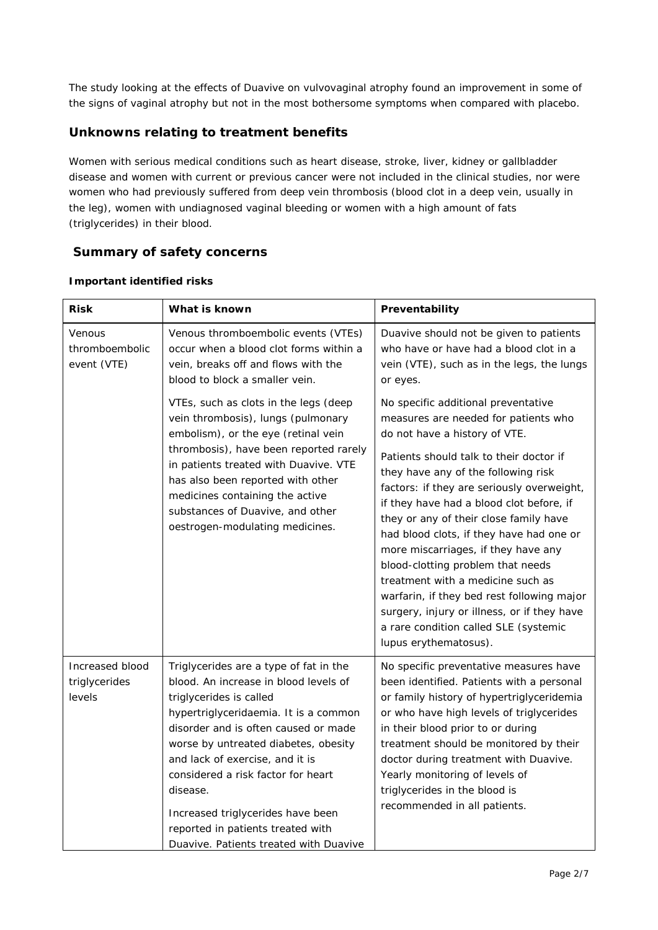The study looking at the effects of Duavive on vulvovaginal atrophy found an improvement in some of the signs of vaginal atrophy but not in the most bothersome symptoms when compared with placebo.

# **Unknowns relating to treatment benefits**

Women with serious medical conditions such as heart disease, stroke, liver, kidney or gallbladder disease and women with current or previous cancer were not included in the clinical studies, nor were women who had previously suffered from deep vein thrombosis (blood clot in a deep vein, usually in the leg), women with undiagnosed vaginal bleeding or women with a high amount of fats (triglycerides) in their blood.

# **Summary of safety concerns**

| Risk                                       | What is known                                                                                                                                                                                                                                                                                                                                                                                                                                | Preventability                                                                                                                                                                                                                                                                                                                                                                                                                                                                                                                                                                                                                                                 |  |
|--------------------------------------------|----------------------------------------------------------------------------------------------------------------------------------------------------------------------------------------------------------------------------------------------------------------------------------------------------------------------------------------------------------------------------------------------------------------------------------------------|----------------------------------------------------------------------------------------------------------------------------------------------------------------------------------------------------------------------------------------------------------------------------------------------------------------------------------------------------------------------------------------------------------------------------------------------------------------------------------------------------------------------------------------------------------------------------------------------------------------------------------------------------------------|--|
| Venous<br>thromboembolic<br>event (VTE)    | Venous thromboembolic events (VTEs)<br>occur when a blood clot forms within a<br>vein, breaks off and flows with the<br>blood to block a smaller vein.                                                                                                                                                                                                                                                                                       | Duavive should not be given to patients<br>who have or have had a blood clot in a<br>vein (VTE), such as in the legs, the lungs<br>or eyes.                                                                                                                                                                                                                                                                                                                                                                                                                                                                                                                    |  |
|                                            | VTEs, such as clots in the legs (deep<br>vein thrombosis), lungs (pulmonary<br>embolism), or the eye (retinal vein<br>thrombosis), have been reported rarely<br>in patients treated with Duavive. VTE<br>has also been reported with other<br>medicines containing the active<br>substances of Duavive, and other<br>oestrogen-modulating medicines.                                                                                         | No specific additional preventative<br>measures are needed for patients who<br>do not have a history of VTE.<br>Patients should talk to their doctor if<br>they have any of the following risk<br>factors: if they are seriously overweight,<br>if they have had a blood clot before, if<br>they or any of their close family have<br>had blood clots, if they have had one or<br>more miscarriages, if they have any<br>blood-clotting problem that needs<br>treatment with a medicine such as<br>warfarin, if they bed rest following major<br>surgery, injury or illness, or if they have<br>a rare condition called SLE (systemic<br>lupus erythematosus). |  |
| Increased blood<br>triglycerides<br>levels | Triglycerides are a type of fat in the<br>blood. An increase in blood levels of<br>triglycerides is called<br>hypertriglyceridaemia. It is a common<br>disorder and is often caused or made<br>worse by untreated diabetes, obesity<br>and lack of exercise, and it is<br>considered a risk factor for heart<br>disease.<br>Increased triglycerides have been<br>reported in patients treated with<br>Duavive. Patients treated with Duavive | No specific preventative measures have<br>been identified. Patients with a personal<br>or family history of hypertriglyceridemia<br>or who have high levels of triglycerides<br>in their blood prior to or during<br>treatment should be monitored by their<br>doctor during treatment with Duavive.<br>Yearly monitoring of levels of<br>triglycerides in the blood is<br>recommended in all patients.                                                                                                                                                                                                                                                        |  |

#### *Important identified risks*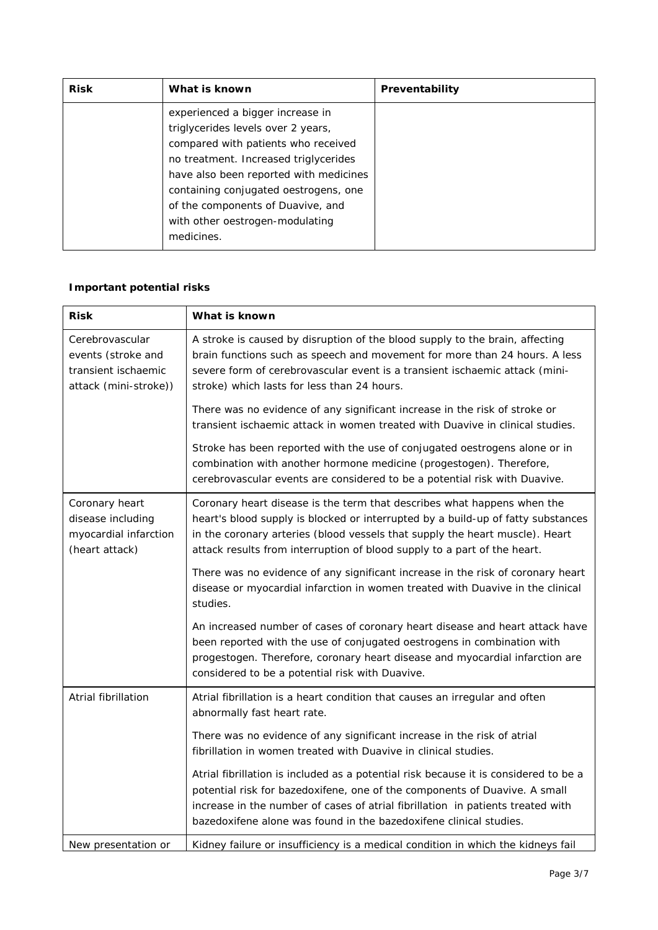| <b>Risk</b> | What is known                                                                                                                                                                                                                                                                                                                   | Preventability |
|-------------|---------------------------------------------------------------------------------------------------------------------------------------------------------------------------------------------------------------------------------------------------------------------------------------------------------------------------------|----------------|
|             | experienced a bigger increase in<br>triglycerides levels over 2 years,<br>compared with patients who received<br>no treatment. Increased triglycerides<br>have also been reported with medicines<br>containing conjugated oestrogens, one<br>of the components of Duavive, and<br>with other oestrogen-modulating<br>medicines. |                |

# *Important potential risks*

| <b>Risk</b>                                                                           | What is known                                                                                                                                                                                                                                                                                                               |  |  |
|---------------------------------------------------------------------------------------|-----------------------------------------------------------------------------------------------------------------------------------------------------------------------------------------------------------------------------------------------------------------------------------------------------------------------------|--|--|
| Cerebrovascular<br>events (stroke and<br>transient ischaemic<br>attack (mini-stroke)) | A stroke is caused by disruption of the blood supply to the brain, affecting<br>brain functions such as speech and movement for more than 24 hours. A less<br>severe form of cerebrovascular event is a transient ischaemic attack (mini-<br>stroke) which lasts for less than 24 hours.                                    |  |  |
|                                                                                       | There was no evidence of any significant increase in the risk of stroke or<br>transient ischaemic attack in women treated with Duavive in clinical studies.                                                                                                                                                                 |  |  |
|                                                                                       | Stroke has been reported with the use of conjugated oestrogens alone or in<br>combination with another hormone medicine (progestogen). Therefore,<br>cerebrovascular events are considered to be a potential risk with Duavive.                                                                                             |  |  |
| Coronary heart<br>disease including<br>myocardial infarction<br>(heart attack)        | Coronary heart disease is the term that describes what happens when the<br>heart's blood supply is blocked or interrupted by a build-up of fatty substances<br>in the coronary arteries (blood vessels that supply the heart muscle). Heart<br>attack results from interruption of blood supply to a part of the heart.     |  |  |
|                                                                                       | There was no evidence of any significant increase in the risk of coronary heart<br>disease or myocardial infarction in women treated with Duavive in the clinical<br>studies.                                                                                                                                               |  |  |
|                                                                                       | An increased number of cases of coronary heart disease and heart attack have<br>been reported with the use of conjugated oestrogens in combination with<br>progestogen. Therefore, coronary heart disease and myocardial infarction are<br>considered to be a potential risk with Duavive.                                  |  |  |
| Atrial fibrillation                                                                   | Atrial fibrillation is a heart condition that causes an irregular and often<br>abnormally fast heart rate.                                                                                                                                                                                                                  |  |  |
|                                                                                       | There was no evidence of any significant increase in the risk of atrial<br>fibrillation in women treated with Duavive in clinical studies.                                                                                                                                                                                  |  |  |
|                                                                                       | Atrial fibrillation is included as a potential risk because it is considered to be a<br>potential risk for bazedoxifene, one of the components of Duavive. A small<br>increase in the number of cases of atrial fibrillation in patients treated with<br>bazedoxifene alone was found in the bazedoxifene clinical studies. |  |  |
| New presentation or                                                                   | Kidney failure or insufficiency is a medical condition in which the kidneys fail                                                                                                                                                                                                                                            |  |  |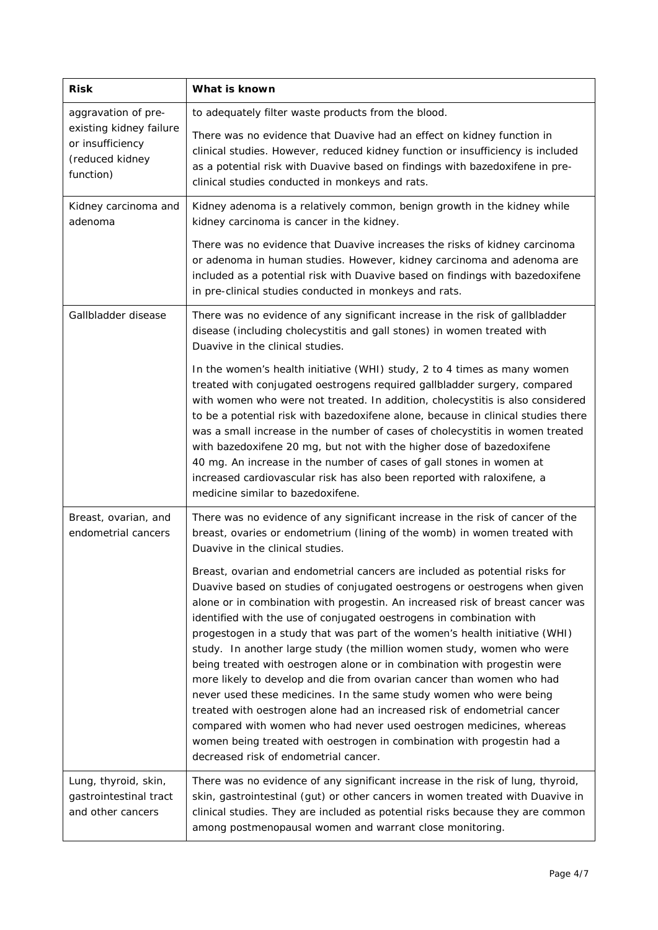| <b>Risk</b>                                                                 | What is known                                                                                                                                                                                                                                                                                                                                                                                                                                                                                                                                                                                                                                                                                                                                                                                                                                                                                                                                                                 |  |  |
|-----------------------------------------------------------------------------|-------------------------------------------------------------------------------------------------------------------------------------------------------------------------------------------------------------------------------------------------------------------------------------------------------------------------------------------------------------------------------------------------------------------------------------------------------------------------------------------------------------------------------------------------------------------------------------------------------------------------------------------------------------------------------------------------------------------------------------------------------------------------------------------------------------------------------------------------------------------------------------------------------------------------------------------------------------------------------|--|--|
| aggravation of pre-                                                         | to adequately filter waste products from the blood.                                                                                                                                                                                                                                                                                                                                                                                                                                                                                                                                                                                                                                                                                                                                                                                                                                                                                                                           |  |  |
| existing kidney failure<br>or insufficiency<br>(reduced kidney<br>function) | There was no evidence that Duavive had an effect on kidney function in<br>clinical studies. However, reduced kidney function or insufficiency is included<br>as a potential risk with Duavive based on findings with bazedoxifene in pre-<br>clinical studies conducted in monkeys and rats.                                                                                                                                                                                                                                                                                                                                                                                                                                                                                                                                                                                                                                                                                  |  |  |
| Kidney carcinoma and<br>adenoma                                             | Kidney adenoma is a relatively common, benign growth in the kidney while<br>kidney carcinoma is cancer in the kidney.                                                                                                                                                                                                                                                                                                                                                                                                                                                                                                                                                                                                                                                                                                                                                                                                                                                         |  |  |
|                                                                             | There was no evidence that Duavive increases the risks of kidney carcinoma<br>or adenoma in human studies. However, kidney carcinoma and adenoma are<br>included as a potential risk with Duavive based on findings with bazedoxifene<br>in pre-clinical studies conducted in monkeys and rats.                                                                                                                                                                                                                                                                                                                                                                                                                                                                                                                                                                                                                                                                               |  |  |
| Gallbladder disease                                                         | There was no evidence of any significant increase in the risk of gallbladder<br>disease (including cholecystitis and gall stones) in women treated with<br>Duavive in the clinical studies.                                                                                                                                                                                                                                                                                                                                                                                                                                                                                                                                                                                                                                                                                                                                                                                   |  |  |
|                                                                             | In the women's health initiative (WHI) study, 2 to 4 times as many women<br>treated with conjugated oestrogens required gallbladder surgery, compared<br>with women who were not treated. In addition, cholecystitis is also considered<br>to be a potential risk with bazedoxifene alone, because in clinical studies there<br>was a small increase in the number of cases of cholecystitis in women treated<br>with bazedoxifene 20 mg, but not with the higher dose of bazedoxifene<br>40 mg. An increase in the number of cases of gall stones in women at<br>increased cardiovascular risk has also been reported with raloxifene, a<br>medicine similar to bazedoxifene.                                                                                                                                                                                                                                                                                                |  |  |
| Breast, ovarian, and<br>endometrial cancers                                 | There was no evidence of any significant increase in the risk of cancer of the<br>breast, ovaries or endometrium (lining of the womb) in women treated with<br>Duavive in the clinical studies.                                                                                                                                                                                                                                                                                                                                                                                                                                                                                                                                                                                                                                                                                                                                                                               |  |  |
|                                                                             | Breast, ovarian and endometrial cancers are included as potential risks for<br>Duavive based on studies of conjugated oestrogens or oestrogens when given<br>alone or in combination with progestin. An increased risk of breast cancer was<br>identified with the use of conjugated oestrogens in combination with<br>progestogen in a study that was part of the women's health initiative (WHI)<br>study. In another large study (the million women study, women who were<br>being treated with oestrogen alone or in combination with progestin were<br>more likely to develop and die from ovarian cancer than women who had<br>never used these medicines. In the same study women who were being<br>treated with oestrogen alone had an increased risk of endometrial cancer<br>compared with women who had never used oestrogen medicines, whereas<br>women being treated with oestrogen in combination with progestin had a<br>decreased risk of endometrial cancer. |  |  |
| Lung, thyroid, skin,<br>gastrointestinal tract<br>and other cancers         | There was no evidence of any significant increase in the risk of lung, thyroid,<br>skin, gastrointestinal (gut) or other cancers in women treated with Duavive in<br>clinical studies. They are included as potential risks because they are common<br>among postmenopausal women and warrant close monitoring.                                                                                                                                                                                                                                                                                                                                                                                                                                                                                                                                                                                                                                                               |  |  |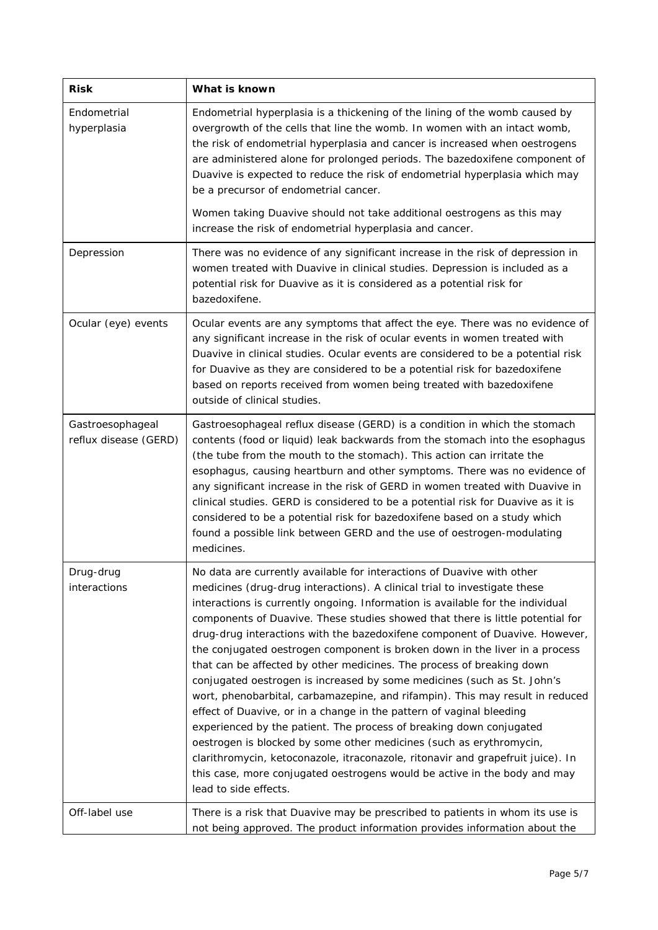| <b>Risk</b>                               | What is known                                                                                                                                                                                                                                                                                                                                                                                                                                                                                                                                                                                                                                                                                                                                                                                                                                                                                                                                                                                                                                                                                                                             |  |  |
|-------------------------------------------|-------------------------------------------------------------------------------------------------------------------------------------------------------------------------------------------------------------------------------------------------------------------------------------------------------------------------------------------------------------------------------------------------------------------------------------------------------------------------------------------------------------------------------------------------------------------------------------------------------------------------------------------------------------------------------------------------------------------------------------------------------------------------------------------------------------------------------------------------------------------------------------------------------------------------------------------------------------------------------------------------------------------------------------------------------------------------------------------------------------------------------------------|--|--|
| Endometrial<br>hyperplasia                | Endometrial hyperplasia is a thickening of the lining of the womb caused by<br>overgrowth of the cells that line the womb. In women with an intact womb,<br>the risk of endometrial hyperplasia and cancer is increased when oestrogens<br>are administered alone for prolonged periods. The bazedoxifene component of<br>Duavive is expected to reduce the risk of endometrial hyperplasia which may<br>be a precursor of endometrial cancer.                                                                                                                                                                                                                                                                                                                                                                                                                                                                                                                                                                                                                                                                                            |  |  |
|                                           | Women taking Duavive should not take additional oestrogens as this may<br>increase the risk of endometrial hyperplasia and cancer.                                                                                                                                                                                                                                                                                                                                                                                                                                                                                                                                                                                                                                                                                                                                                                                                                                                                                                                                                                                                        |  |  |
| Depression                                | There was no evidence of any significant increase in the risk of depression in<br>women treated with Duavive in clinical studies. Depression is included as a<br>potential risk for Duavive as it is considered as a potential risk for<br>bazedoxifene.                                                                                                                                                                                                                                                                                                                                                                                                                                                                                                                                                                                                                                                                                                                                                                                                                                                                                  |  |  |
| Ocular (eye) events                       | Ocular events are any symptoms that affect the eye. There was no evidence of<br>any significant increase in the risk of ocular events in women treated with<br>Duavive in clinical studies. Ocular events are considered to be a potential risk<br>for Duavive as they are considered to be a potential risk for bazedoxifene<br>based on reports received from women being treated with bazedoxifene<br>outside of clinical studies.                                                                                                                                                                                                                                                                                                                                                                                                                                                                                                                                                                                                                                                                                                     |  |  |
| Gastroesophageal<br>reflux disease (GERD) | Gastroesophageal reflux disease (GERD) is a condition in which the stomach<br>contents (food or liquid) leak backwards from the stomach into the esophagus<br>(the tube from the mouth to the stomach). This action can irritate the<br>esophagus, causing heartburn and other symptoms. There was no evidence of<br>any significant increase in the risk of GERD in women treated with Duavive in<br>clinical studies. GERD is considered to be a potential risk for Duavive as it is<br>considered to be a potential risk for bazedoxifene based on a study which<br>found a possible link between GERD and the use of oestrogen-modulating<br>medicines.                                                                                                                                                                                                                                                                                                                                                                                                                                                                               |  |  |
| Drug-drug<br>interactions                 | No data are currently available for interactions of Duavive with other<br>medicines (drug-drug interactions). A clinical trial to investigate these<br>interactions is currently ongoing. Information is available for the individual<br>components of Duavive. These studies showed that there is little potential for<br>drug-drug interactions with the bazedoxifene component of Duavive. However,<br>the conjugated oestrogen component is broken down in the liver in a process<br>that can be affected by other medicines. The process of breaking down<br>conjugated oestrogen is increased by some medicines (such as St. John's<br>wort, phenobarbital, carbamazepine, and rifampin). This may result in reduced<br>effect of Duavive, or in a change in the pattern of vaginal bleeding<br>experienced by the patient. The process of breaking down conjugated<br>oestrogen is blocked by some other medicines (such as erythromycin,<br>clarithromycin, ketoconazole, itraconazole, ritonavir and grapefruit juice). In<br>this case, more conjugated oestrogens would be active in the body and may<br>lead to side effects. |  |  |
| Off-label use                             | There is a risk that Duavive may be prescribed to patients in whom its use is<br>not being approved. The product information provides information about the                                                                                                                                                                                                                                                                                                                                                                                                                                                                                                                                                                                                                                                                                                                                                                                                                                                                                                                                                                               |  |  |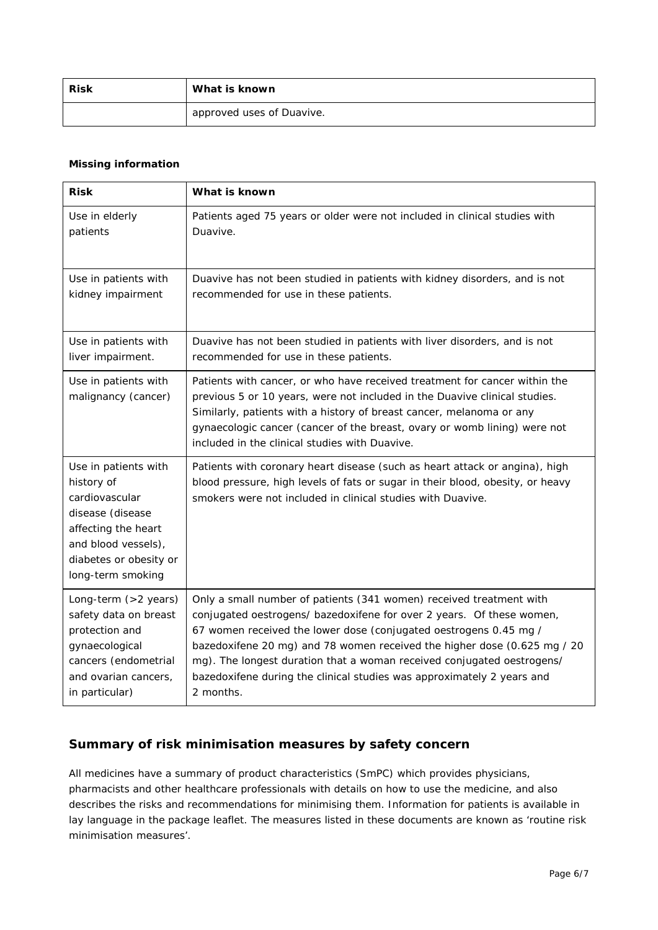| <b>Risk</b> | What is known             |  |
|-------------|---------------------------|--|
|             | approved uses of Duavive. |  |

#### *Missing information*

| <b>Risk</b>                                                                                                                                                           | What is known                                                                                                                                                                                                                                                                                                                                                   |  |
|-----------------------------------------------------------------------------------------------------------------------------------------------------------------------|-----------------------------------------------------------------------------------------------------------------------------------------------------------------------------------------------------------------------------------------------------------------------------------------------------------------------------------------------------------------|--|
| Use in elderly                                                                                                                                                        | Patients aged 75 years or older were not included in clinical studies with                                                                                                                                                                                                                                                                                      |  |
| patients                                                                                                                                                              | Duavive.                                                                                                                                                                                                                                                                                                                                                        |  |
| Use in patients with                                                                                                                                                  | Duavive has not been studied in patients with kidney disorders, and is not                                                                                                                                                                                                                                                                                      |  |
| kidney impairment                                                                                                                                                     | recommended for use in these patients.                                                                                                                                                                                                                                                                                                                          |  |
| Use in patients with                                                                                                                                                  | Duavive has not been studied in patients with liver disorders, and is not                                                                                                                                                                                                                                                                                       |  |
| liver impairment.                                                                                                                                                     | recommended for use in these patients.                                                                                                                                                                                                                                                                                                                          |  |
| Use in patients with<br>malignancy (cancer)                                                                                                                           | Patients with cancer, or who have received treatment for cancer within the<br>previous 5 or 10 years, were not included in the Duavive clinical studies.<br>Similarly, patients with a history of breast cancer, melanoma or any<br>gynaecologic cancer (cancer of the breast, ovary or womb lining) were not<br>included in the clinical studies with Duavive. |  |
| Use in patients with<br>history of<br>cardiovascular<br>disease (disease<br>affecting the heart<br>and blood vessels),<br>diabetes or obesity or<br>long-term smoking | Patients with coronary heart disease (such as heart attack or angina), high<br>blood pressure, high levels of fats or sugar in their blood, obesity, or heavy<br>smokers were not included in clinical studies with Duavive.                                                                                                                                    |  |
| Long-term (>2 years)                                                                                                                                                  | Only a small number of patients (341 women) received treatment with                                                                                                                                                                                                                                                                                             |  |
| safety data on breast                                                                                                                                                 | conjugated oestrogens/ bazedoxifene for over 2 years. Of these women,                                                                                                                                                                                                                                                                                           |  |
| protection and                                                                                                                                                        | 67 women received the lower dose (conjugated oestrogens 0.45 mg /                                                                                                                                                                                                                                                                                               |  |
| gynaecological                                                                                                                                                        | bazedoxifene 20 mg) and 78 women received the higher dose (0.625 mg / 20                                                                                                                                                                                                                                                                                        |  |
| cancers (endometrial                                                                                                                                                  | mg). The longest duration that a woman received conjugated oestrogens/                                                                                                                                                                                                                                                                                          |  |
| and ovarian cancers,                                                                                                                                                  | bazedoxifene during the clinical studies was approximately 2 years and                                                                                                                                                                                                                                                                                          |  |
| in particular)                                                                                                                                                        | 2 months.                                                                                                                                                                                                                                                                                                                                                       |  |

## **Summary of risk minimisation measures by safety concern**

All medicines have a summary of product characteristics (SmPC) which provides physicians, pharmacists and other healthcare professionals with details on how to use the medicine, and also describes the risks and recommendations for minimising them. Information for patients is available in lay language in the package leaflet. The measures listed in these documents are known as 'routine risk minimisation measures'.